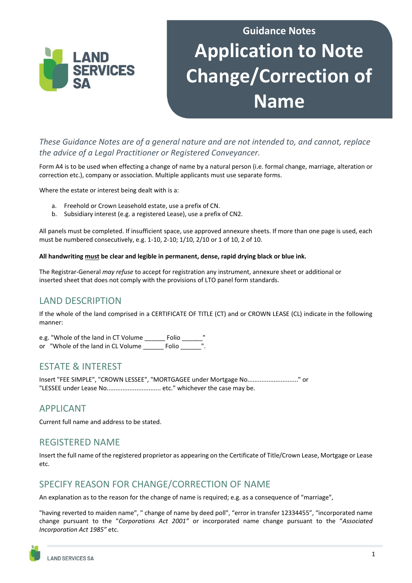

# **Guidance Notes Application to Note Change/Correction of Name**

*These Guidance Notes are of a general nature and are not intended to, and cannot, replace the advice of a Legal Practitioner or Registered Conveyancer.* 

Form A4 is to be used when effecting a change of name by a natural person (i.e. formal change, marriage, alteration or correction etc.), company or association. Multiple applicants must use separate forms.

Where the estate or interest being dealt with is a:

- a. Freehold or Crown Leasehold estate, use a prefix of CN.
- b. Subsidiary interest (e.g. a registered Lease), use a prefix of CN2.

All panels must be completed. If insufficient space, use approved annexure sheets. If more than one page is used, each must be numbered consecutively, e.g. 1-10, 2-10; 1/10, 2/10 or 1 of 10, 2 of 10.

#### **All handwriting must be clear and legible in permanent, dense, rapid drying black or blue ink.**

The Registrar-General *may refuse* to accept for registration any instrument, annexure sheet or additional or inserted sheet that does not comply with the provisions of LTO panel form standards.

#### LAND DESCRIPTION

If the whole of the land comprised in a CERTIFICATE OF TITLE (CT) and or CROWN LEASE (CL) indicate in the following manner:

e.g. "Whole of the land in CT Volume \_\_\_\_\_\_\_ Folio \_\_\_\_\_\_" or "Whole of the land in CL Volume \_\_\_\_\_\_ Folio \_\_\_\_\_\_".

#### ESTATE & INTEREST

Insert "FEE SIMPLE", "CROWN LESSEE", "MORTGAGEE under Mortgage No............................." or "LESSEE under Lease No............................... etc." whichever the case may be.

#### APPLICANT

Current full name and address to be stated.

#### REGISTERED NAME

Insert the full name of the registered proprietor as appearing on the Certificate of Title/Crown Lease, Mortgage or Lease etc.

#### SPECIFY REASON FOR CHANGE/CORRECTION OF NAME

An explanation as to the reason for the change of name is required; e.g. as a consequence of "marriage",

"having reverted to maiden name", " change of name by deed poll", "error in transfer 12334455", "incorporated name change pursuant to the "*Corporations Act 2001"* or incorporated name change pursuant to the "*Associated Incorporation Act 1985"* etc.